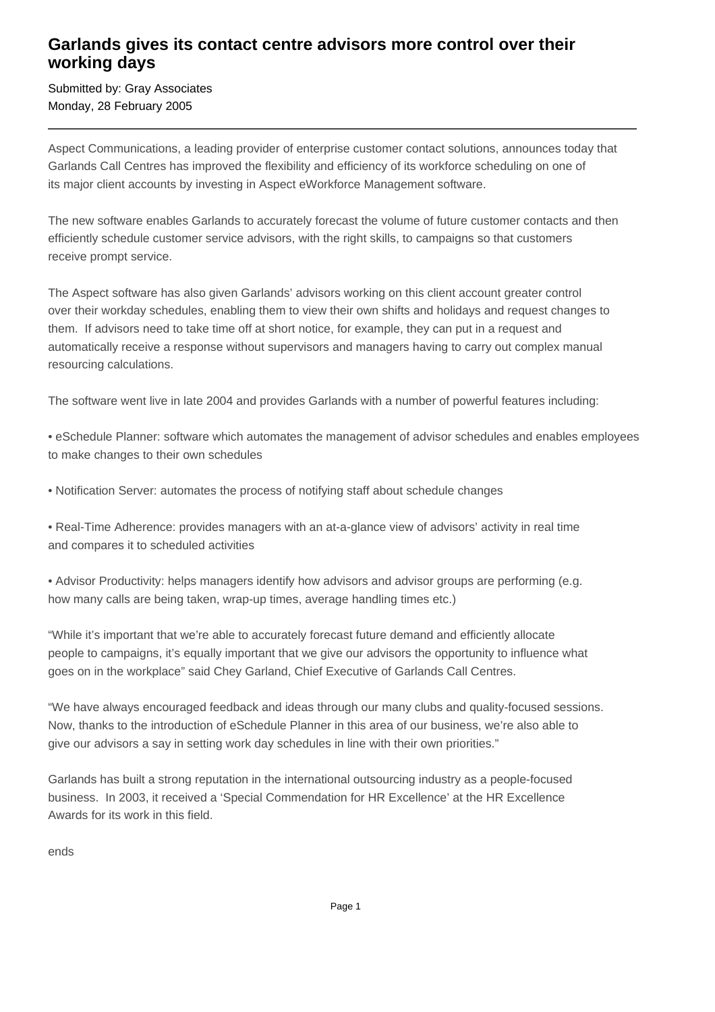## **Garlands gives its contact centre advisors more control over their working days**

Submitted by: Gray Associates Monday, 28 February 2005

Aspect Communications, a leading provider of enterprise customer contact solutions, announces today that Garlands Call Centres has improved the flexibility and efficiency of its workforce scheduling on one of its major client accounts by investing in Aspect eWorkforce Management software.

The new software enables Garlands to accurately forecast the volume of future customer contacts and then efficiently schedule customer service advisors, with the right skills, to campaigns so that customers receive prompt service.

The Aspect software has also given Garlands' advisors working on this client account greater control over their workday schedules, enabling them to view their own shifts and holidays and request changes to them. If advisors need to take time off at short notice, for example, they can put in a request and automatically receive a response without supervisors and managers having to carry out complex manual resourcing calculations.

The software went live in late 2004 and provides Garlands with a number of powerful features including:

• eSchedule Planner: software which automates the management of advisor schedules and enables employees to make changes to their own schedules

• Notification Server: automates the process of notifying staff about schedule changes

• Real-Time Adherence: provides managers with an at-a-glance view of advisors' activity in real time and compares it to scheduled activities

• Advisor Productivity: helps managers identify how advisors and advisor groups are performing (e.g. how many calls are being taken, wrap-up times, average handling times etc.)

"While it's important that we're able to accurately forecast future demand and efficiently allocate people to campaigns, it's equally important that we give our advisors the opportunity to influence what goes on in the workplace" said Chey Garland, Chief Executive of Garlands Call Centres.

"We have always encouraged feedback and ideas through our many clubs and quality-focused sessions. Now, thanks to the introduction of eSchedule Planner in this area of our business, we're also able to give our advisors a say in setting work day schedules in line with their own priorities."

Garlands has built a strong reputation in the international outsourcing industry as a people-focused business. In 2003, it received a 'Special Commendation for HR Excellence' at the HR Excellence Awards for its work in this field.

ends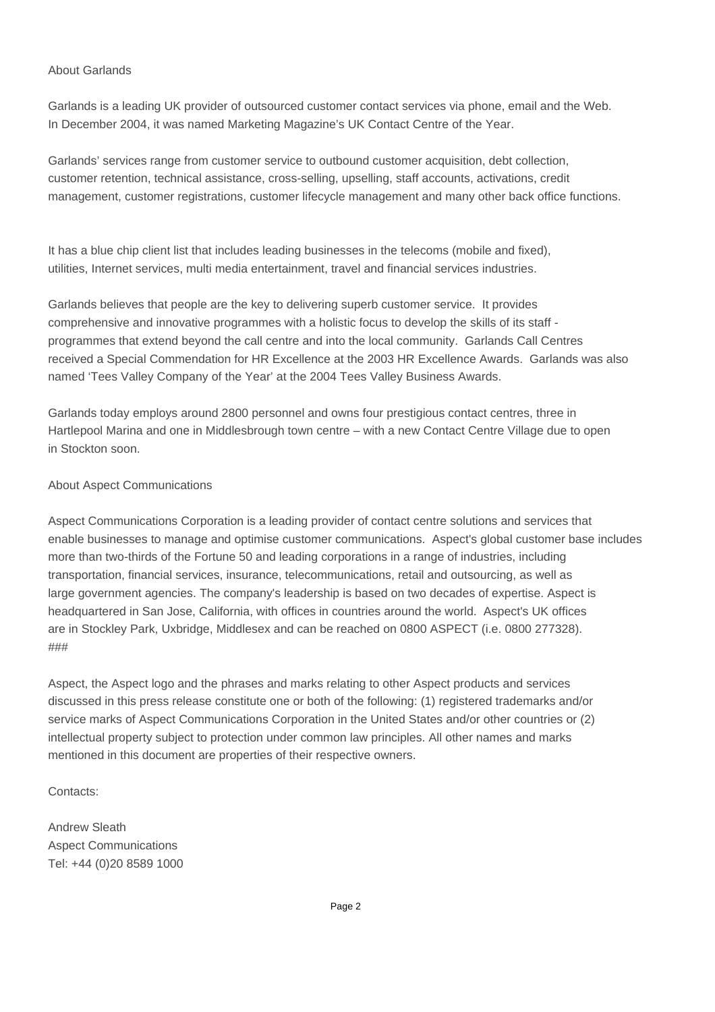## About Garlands

Garlands is a leading UK provider of outsourced customer contact services via phone, email and the Web. In December 2004, it was named Marketing Magazine's UK Contact Centre of the Year.

Garlands' services range from customer service to outbound customer acquisition, debt collection, customer retention, technical assistance, cross-selling, upselling, staff accounts, activations, credit management, customer registrations, customer lifecycle management and many other back office functions.

It has a blue chip client list that includes leading businesses in the telecoms (mobile and fixed), utilities, Internet services, multi media entertainment, travel and financial services industries.

Garlands believes that people are the key to delivering superb customer service. It provides comprehensive and innovative programmes with a holistic focus to develop the skills of its staff programmes that extend beyond the call centre and into the local community. Garlands Call Centres received a Special Commendation for HR Excellence at the 2003 HR Excellence Awards. Garlands was also named 'Tees Valley Company of the Year' at the 2004 Tees Valley Business Awards.

Garlands today employs around 2800 personnel and owns four prestigious contact centres, three in Hartlepool Marina and one in Middlesbrough town centre – with a new Contact Centre Village due to open in Stockton soon.

## About Aspect Communications

Aspect Communications Corporation is a leading provider of contact centre solutions and services that enable businesses to manage and optimise customer communications. Aspect's global customer base includes more than two-thirds of the Fortune 50 and leading corporations in a range of industries, including transportation, financial services, insurance, telecommunications, retail and outsourcing, as well as large government agencies. The company's leadership is based on two decades of expertise. Aspect is headquartered in San Jose, California, with offices in countries around the world. Aspect's UK offices are in Stockley Park, Uxbridge, Middlesex and can be reached on 0800 ASPECT (i.e. 0800 277328). ###

Aspect, the Aspect logo and the phrases and marks relating to other Aspect products and services discussed in this press release constitute one or both of the following: (1) registered trademarks and/or service marks of Aspect Communications Corporation in the United States and/or other countries or (2) intellectual property subject to protection under common law principles. All other names and marks mentioned in this document are properties of their respective owners.

Contacts:

Andrew Sleath Aspect Communications Tel: +44 (0)20 8589 1000